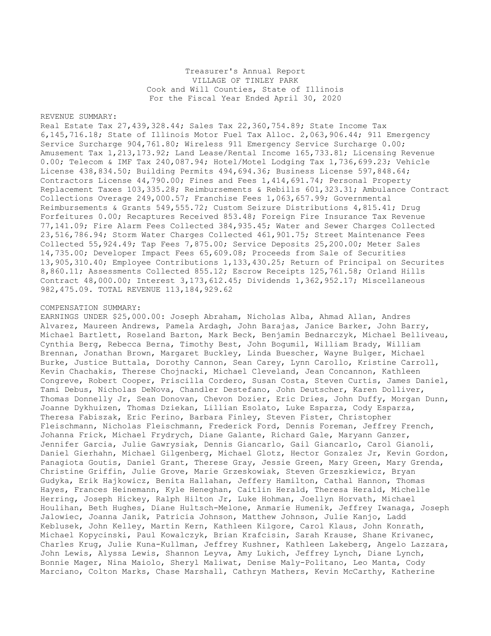Treasurer's Annual Report VILLAGE OF TINLEY PARK Cook and Will Counties, State of Illinois For the Fiscal Year Ended April 30, 2020

## REVENUE SUMMARY:

Real Estate Tax 27,439,328.44; Sales Tax 22,360,754.89; State Income Tax 6,145,716.18; State of Illinois Motor Fuel Tax Alloc. 2,063,906.44; 911 Emergency Service Surcharge 904,761.80; Wireless 911 Emergency Service Surcharge 0.00; Amusement Tax 1,213,173.92; Land Lease/Rental Income 165,733.81; Licensing Revenue 0.00; Telecom & IMF Tax 240,087.94; Hotel/Motel Lodging Tax 1,736,699.23; Vehicle License 438,834.50; Building Permits 494,694.36; Business License 597,848.64; Contractors License 44,790.00; Fines and Fees 1,414,691.74; Personal Property Replacement Taxes 103,335.28; Reimbursements & Rebills 601,323.31; Ambulance Contract Collections Overage 249,000.57; Franchise Fees 1,063,657.99; Governmental Reimbursements & Grants 549,555.72; Custom Seizure Distributions 4,815.41; Drug Forfeitures 0.00; Recaptures Received 853.48; Foreign Fire Insurance Tax Revenue 77,141.09; Fire Alarm Fees Collected 384,935.45; Water and Sewer Charges Collected 23,516,786.94; Storm Water Charges Collected 461,901.75; Street Maintenance Fees Collected 55,924.49; Tap Fees 7,875.00; Service Deposits 25,200.00; Meter Sales 14,735.00; Developer Impact Fees 65,609.08; Proceeds from Sale of Securities 13,905,310.40; Employee Contributions 1,133,430.25; Return of Principal on Securites 8,860.11; Assessments Collected 855.12; Escrow Receipts 125,761.58; Orland Hills Contract 48,000.00; Interest 3,173,612.45; Dividends 1,362,952.17; Miscellaneous 982,475.09. TOTAL REVENUE 113,184,929.62

## COMPENSATION SUMMARY:

EARNINGS UNDER \$25,000.00: Joseph Abraham, Nicholas Alba, Ahmad Allan, Andres Alvarez, Maureen Andrews, Pamela Ardagh, John Barajas, Janice Barker, John Barry, Michael Bartlett, Roseland Barton, Mark Beck, Benjamin Bednarczyk, Michael Belliveau, Cynthia Berg, Rebecca Berna, Timothy Best, John Bogumil, William Brady, William Brennan, Jonathan Brown, Margaret Buckley, Linda Buescher, Wayne Bulger, Michael Burke, Justice Buttala, Dorothy Cannon, Sean Carey, Lynn Carollo, Kristine Carroll, Kevin Chachakis, Therese Chojnacki, Michael Cleveland, Jean Concannon, Kathleen Congreve, Robert Cooper, Priscilla Cordero, Susan Costa, Steven Curtis, James Daniel, Tami Debus, Nicholas DeNova, Chandler Destefano, John Deutscher, Karen Dolliver, Thomas Donnelly Jr, Sean Donovan, Chevon Dozier, Eric Dries, John Duffy, Morgan Dunn, Joanne Dykhuizen, Thomas Dziekan, Lillian Esolato, Luke Esparza, Cody Esparza, Theresa Fabiszak, Eric Ferino, Barbara Finley, Steven Fister, Christopher Fleischmann, Nicholas Fleischmann, Frederick Ford, Dennis Foreman, Jeffrey French, Johanna Frick, Michael Frydrych, Diane Galante, Richard Gale, Maryann Ganzer, Jennifer Garcia, Julie Gawrysiak, Dennis Giancarlo, Gail Giancarlo, Carol Gianoli, Daniel Gierhahn, Michael Gilgenberg, Michael Glotz, Hector Gonzalez Jr, Kevin Gordon, Panagiota Goutis, Daniel Grant, Therese Gray, Jessie Green, Mary Green, Mary Grenda, Christine Griffin, Julie Grove, Marie Grzeskowiak, Steven Grzeszkiewicz, Bryan Gudyka, Erik Hajkowicz, Benita Hallahan, Jeffery Hamilton, Cathal Hannon, Thomas Hayes, Frances Heinemann, Kyle Heneghan, Caitlin Herald, Theresa Herald, Michelle Herring, Joseph Hickey, Ralph Hilton Jr, Luke Hohman, Joellyn Horvath, Michael Houlihan, Beth Hughes, Diane Hultsch-Melone, Anmarie Humenik, Jeffrey Iwanaga, Joseph Jalowiec, Joanna Janik, Patricia Johnson, Matthew Johnson, Julie Kanjo, Ladd Keblusek, John Kelley, Martin Kern, Kathleen Kilgore, Carol Klaus, John Konrath, Michael Kopycinski, Paul Kowalczyk, Brian Krafcisin, Sarah Krause, Shane Krivanec, Charles Krug, Julie Kuna-Kullman, Jeffrey Kushner, Kathleen Lakeberg, Angelo Lazzara, John Lewis, Alyssa Lewis, Shannon Leyva, Amy Lukich, Jeffrey Lynch, Diane Lynch, Bonnie Mager, Nina Maiolo, Sheryl Maliwat, Denise Maly-Politano, Leo Manta, Cody Marciano, Colton Marks, Chase Marshall, Cathryn Mathers, Kevin McCarthy, Katherine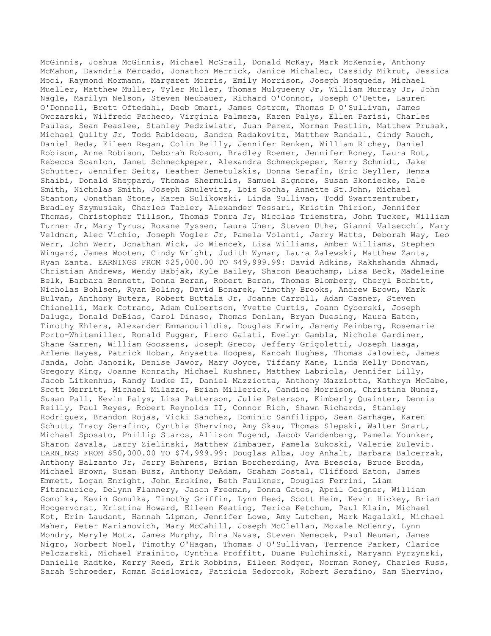McGinnis, Joshua McGinnis, Michael McGrail, Donald McKay, Mark McKenzie, Anthony McMahon, Dawndria Mercado, Jonathon Merrick, Janice Michalec, Cassidy Mikrut, Jessica Mooi, Raymond Mormann, Margaret Morris, Emily Morrison, Joseph Mosqueda, Michael Mueller, Matthew Muller, Tyler Muller, Thomas Mulqueeny Jr, William Murray Jr, John Nagle, Marilyn Nelson, Steven Neubauer, Richard O'Connor, Joseph O'Dette, Lauren O'Donnell, Brett Oftedahl, Deeb Omari, James Ostrom, Thomas D O'Sullivan, James Owczarski, Wilfredo Pacheco, Virginia Palmera, Karen Palys, Ellen Parisi, Charles Paulas, Sean Peaslee, Stanley Pedziwiatr, Juan Perez, Norman Pestlin, Matthew Prusak, Michael Quilty Jr, Todd Rabideau, Sandra Radakovitz, Matthew Randall, Cindy Rauch, Daniel Reda, Eileen Regan, Colin Reilly, Jennifer Renken, William Richey, Daniel Robison, Anne Robison, Deborah Robson, Bradley Roemer, Jennifer Roney, Laura Rot, Rebecca Scanlon, Janet Schmeckpeper, Alexandra Schmeckpeper, Kerry Schmidt, Jake Schutter, Jennifer Seitz, Heather Semetulskis, Donna Serafin, Eric Seyller, Hemza Shaibi, Donald Sheppard, Thomas Shermulis, Samuel Signore, Susan Skoniecke, Dale Smith, Nicholas Smith, Joseph Smulevitz, Lois Socha, Annette St.John, Michael Stanton, Jonathan Stone, Karen Sulikowski, Linda Sullivan, Todd Swartzentruber, Bradley Szymusiak, Charles Tabler, Alexander Tessari, Kristin Thirion, Jennifer Thomas, Christopher Tillson, Thomas Tonra Jr, Nicolas Triemstra, John Tucker, William Turner Jr, Mary Tyrus, Roxane Tyssen, Laura Uher, Steven Uthe, Gianni Valsecchi, Mary Veldman, Alec Vichio, Joseph Vogler Jr, Pamela Volanti, Jerry Watts, Deborah Way, Leo Werr, John Werr, Jonathan Wick, Jo Wiencek, Lisa Williams, Amber Williams, Stephen Wingard, James Wooten, Cindy Wright, Judith Wyman, Laura Zalewski, Matthew Zanta, Ryan Zanta. EARNINGS FROM \$25,000.00 TO \$49,999.99: David Adkins, Rakhshanda Ahmad, Christian Andrews, Wendy Babjak, Kyle Bailey, Sharon Beauchamp, Lisa Beck, Madeleine Belk, Barbara Bennett, Donna Beran, Robert Beran, Thomas Blomberg, Cheryl Bobbitt, Nicholas Bohlsen, Ryan Boling, David Bonarek, Timothy Brooks, Andrew Brown, Mark Bulvan, Anthony Butera, Robert Buttala Jr, Joanne Carroll, Adam Casner, Steven Chianelli, Mark Cotrano, Adam Culbertson, Yvette Curtis, Joann Cyborski, Joseph Daluga, Donald DeBias, Carol Dinaso, Thomas Donlan, Bryan Duesing, Maura Eaton, Timothy Ehlers, Alexander Emmanouilidis, Douglas Erwin, Jeremy Feinberg, Rosemarie Forto-Whitemiller, Ronald Fugger, Piero Galati, Evelyn Gambla, Nichole Gardiner, Shane Garren, William Goossens, Joseph Greco, Jeffery Grigoletti, Joseph Haaga, Arlene Hayes, Patrick Hoban, Anyaetta Hoopes, Kanoah Hughes, Thomas Jalowiec, James Janda, John Janozik, Denise Jawor, Mary Joyce, Tiffany Kane, Linda Kelly Donovan, Gregory King, Joanne Konrath, Michael Kushner, Matthew Labriola, Jennifer Lilly, Jacob Litkenhus, Randy Ludke II, Daniel Mazziotta, Anthony Mazziotta, Kathryn McCabe, Scott Merritt, Michael Milazzo, Brian Millerick, Candice Morrison, Christina Nunez, Susan Pall, Kevin Palys, Lisa Patterson, Julie Peterson, Kimberly Quainter, Dennis Reilly, Paul Reyes, Robert Reynolds II, Connor Rich, Shawn Richards, Stanley Rodriguez, Brandon Rojas, Vicki Sanchez, Dominic Sanfilippo, Sean Sarhage, Karen Schutt, Tracy Serafino, Cynthia Shervino, Amy Skau, Thomas Slepski, Walter Smart, Michael Sposato, Phillip Staros, Allison Tugend, Jacob Vandenberg, Pamela Younker, Sharon Zavala, Larry Zielinski, Matthew Zimbauer, Pamela Zukoski, Valerie Zulevic. EARNINGS FROM \$50,000.00 TO \$74,999.99: Douglas Alba, Joy Anhalt, Barbara Balcerzak, Anthony Balzanto Jr, Jerry Behrens, Brian Borcherding, Ava Brescia, Bruce Broda, Michael Brown, Susan Busz, Anthony DeAdam, Graham Dostal, Clifford Eaton, James Emmett, Logan Enright, John Erskine, Beth Faulkner, Douglas Ferrini, Liam Fitzmaurice, Delynn Flannery, Jason Freeman, Donna Gates, April Geigner, William Gomolka, Kevin Gomulka, Timothy Griffin, Lynn Heed, Scott Heim, Kevin Hickey, Brian Hoogervorst, Kristina Howard, Eileen Keating, Terica Ketchum, Paul Klain, Michael Kot, Erin Laudant, Hannah Lipman, Jennifer Lowe, Amy Lutchen, Mark Magalski, Michael Maher, Peter Marianovich, Mary McCahill, Joseph McClellan, Mozale McHenry, Lynn Mondry, Meryle Motz, James Murphy, Dina Navas, Steven Nemecek, Paul Neuman, James Nigro, Norbert Noel, Timothy O'Hagan, Thomas J O'Sullivan, Terrence Parker, Clarice Pelczarski, Michael Prainito, Cynthia Proffitt, Duane Pulchinski, Maryann Pyrzynski, Danielle Radtke, Kerry Reed, Erik Robbins, Eileen Rodger, Norman Roney, Charles Russ, Sarah Schroeder, Roman Scislowicz, Patricia Sedorook, Robert Serafino, Sam Shervino,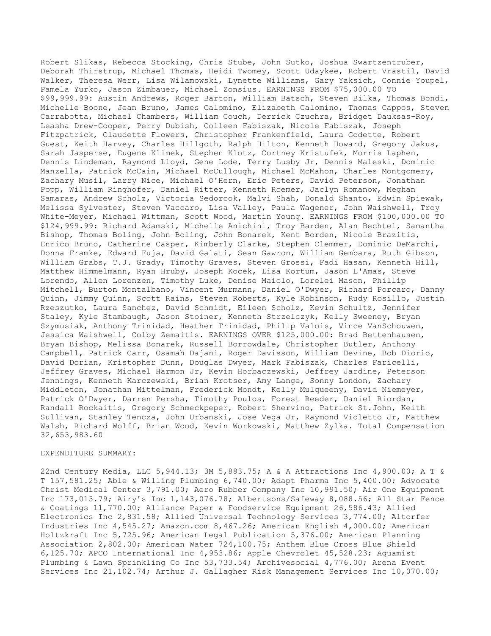Robert Slikas, Rebecca Stocking, Chris Stube, John Sutko, Joshua Swartzentruber, Deborah Thirstrup, Michael Thomas, Heidi Twomey, Scott Udaykee, Robert Vrastil, David Walker, Theresa Werr, Lisa Wilamowski, Lynette Williams, Gary Yaksich, Connie Youpel, Pamela Yurko, Jason Zimbauer, Michael Zonsius. EARNINGS FROM \$75,000.00 TO \$99,999.99: Austin Andrews, Roger Barton, William Batsch, Steven Bilka, Thomas Bondi, Michelle Boone, Jean Bruno, James Calomino, Elizabeth Calomino, Thomas Cappos, Steven Carrabotta, Michael Chambers, William Couch, Derrick Czuchra, Bridget Dauksas-Roy, Leasha Drew-Cooper, Perry Dubish, Colleen Fabiszak, Nicole Fabiszak, Joseph Fitzpatrick, Claudette Flowers, Christopher Frankenfield, Laura Godette, Robert Guest, Keith Harvey, Charles Hillgoth, Ralph Hilton, Kenneth Howard, Gregory Jakus, Sarah Jasperse, Eugene Klimek, Stephen Klotz, Cortney Kristufek, Morris Laphen, Dennis Lindeman, Raymond Lloyd, Gene Lode, Terry Lusby Jr, Dennis Maleski, Dominic Manzella, Patrick McCain, Michael McCullough, Michael McMahon, Charles Montgomery, Zachary Musil, Larry Nice, Michael O'Hern, Eric Peters, David Peterson, Jonathan Popp, William Ringhofer, Daniel Ritter, Kenneth Roemer, Jaclyn Romanow, Meghan Samaras, Andrew Scholz, Victoria Sedorook, Malvi Shah, Donald Shanto, Edwin Spiewak, Melissa Sylvester, Steven Vaccaro, Lisa Valley, Paula Wagener, John Waishwell, Troy White-Meyer, Michael Wittman, Scott Wood, Martin Young. EARNINGS FROM \$100,000.00 TO \$124,999.99: Richard Adamski, Michelle Anichini, Troy Barden, Alan Bechtel, Samantha Bishop, Thomas Boling, John Boling, John Bonarek, Kent Borden, Nicole Brazitis, Enrico Bruno, Catherine Casper, Kimberly Clarke, Stephen Clemmer, Dominic DeMarchi, Donna Framke, Edward Fuja, David Galati, Sean Gawron, William Gembara, Ruth Gibson, William Grabs, T.J. Grady, Timothy Graves, Steven Grossi, Fadi Hasan, Kenneth Hill, Matthew Himmelmann, Ryan Hruby, Joseph Kocek, Lisa Kortum, Jason L'Amas, Steve Lorendo, Allen Lorenzen, Timothy Luke, Denise Maiolo, Lorelei Mason, Phillip Mitchell, Burton Montalbano, Vincent Murmann, Daniel O'Dwyer, Richard Porcaro, Danny Quinn, Jimmy Quinn, Scott Rains, Steven Roberts, Kyle Robinson, Rudy Rosillo, Justin Rzeszutko, Laura Sanchez, David Schmidt, Eileen Scholz, Kevin Schultz, Jennifer Staley, Kyle Stambaugh, Jason Stoiner, Kenneth Strzelczyk, Kelly Sweeney, Bryan Szymusiak, Anthony Trinidad, Heather Trinidad, Philip Valois, Vince VanSchouwen, Jessica Waishwell, Colby Zemaitis. EARNINGS OVER \$125,000.00: Brad Bettenhausen, Bryan Bishop, Melissa Bonarek, Russell Borrowdale, Christopher Butler, Anthony Campbell, Patrick Carr, Osamah Dajani, Roger Davisson, William Devine, Bob Diorio, David Dorian, Kristopher Dunn, Douglas Dwyer, Mark Fabiszak, Charles Faricelli, Jeffrey Graves, Michael Harmon Jr, Kevin Horbaczewski, Jeffrey Jardine, Peterson Jennings, Kenneth Karczewski, Brian Krotser, Amy Lange, Sonny London, Zachary Middleton, Jonathan Mittelman, Frederick Mondt, Kelly Mulqueeny, David Niemeyer, Patrick O'Dwyer, Darren Persha, Timothy Poulos, Forest Reeder, Daniel Riordan, Randall Rockaitis, Gregory Schmeckpeper, Robert Shervino, Patrick St.John, Keith Sullivan, Stanley Tencza, John Urbanski, Jose Vega Jr, Raymond Violetto Jr, Matthew Walsh, Richard Wolff, Brian Wood, Kevin Workowski, Matthew Zylka. Total Compensation 32,653,983.60

## EXPENDITURE SUMMARY:

22nd Century Media, LLC 5,944.13; 3M 5,883.75; A & A Attractions Inc 4,900.00; A T & T 157,581.25; Able & Willing Plumbing 6,740.00; Adapt Pharma Inc 5,400.00; Advocate Christ Medical Center 3,791.00; Aero Rubber Company Inc 10,991.50; Air One Equipment Inc 173,013.79; Airy's Inc 1,143,076.78; Albertsons/Safeway 8,088.56; All Star Fence & Coatings 11,770.00; Alliance Paper & Foodservice Equipment 26,586.43; Allied Electronics Inc 2,831.58; Allied Universal Technology Services 3,774.00; Altorfer Industries Inc 4,545.27; Amazon.com 8,467.26; American English 4,000.00; American Holtzkraft Inc 5,725.96; American Legal Publication 5,376.00; American Planning Association 2,802.00; American Water 724,100.75; Anthem Blue Cross Blue Shield 6,125.70; APCO International Inc 4,953.86; Apple Chevrolet 45,528.23; Aquamist Plumbing & Lawn Sprinkling Co Inc 53,733.54; Archivesocial 4,776.00; Arena Event Services Inc 21,102.74; Arthur J. Gallagher Risk Management Services Inc 10,070.00;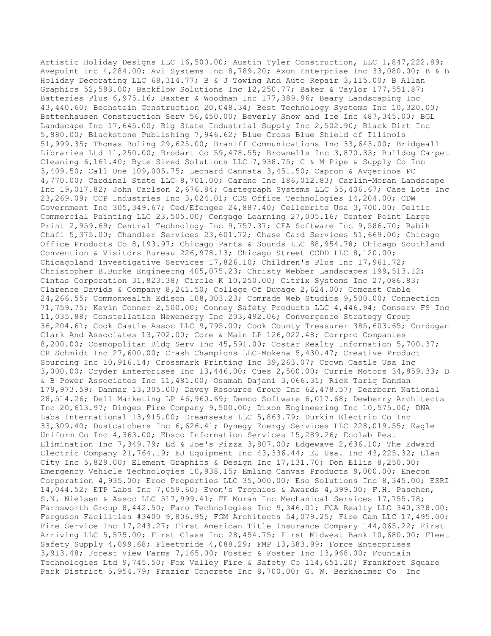Artistic Holiday Designs LLC 16,500.00; Austin Tyler Construction, LLC 1,847,222.89; Avepoint Inc 4,284.00; Avi Systems Inc 8,789.20; Axon Enterprise Inc 33,080.00; B & B Holiday Decorating LLC 68,314.77; B & J Towing And Auto Repair 3,115.00; B Allan Graphics 52,593.00; Backflow Solutions Inc 12,250.77; Baker & Taylor 177,551.87; Batteries Plus 6,975.16; Baxter & Woodman Inc 177,389.96; Beary Landscaping Inc 43,440.60; Bechstein Construction 20,048.34; Best Technology Systems Inc 10,320.00; Bettenhausen Construction Serv 56,450.00; Beverly Snow and Ice Inc 487,345.00; BGL Landscape Inc 17,645.00; Big State Industrial Supply Inc 2,502.90; Black Dirt Inc 5,880.00; Blackstone Publishing 7,946.62; Blue Cross Blue Shield of Illinois 51,999.35; Thomas Boling 29,625.00; Braniff Communications Inc 33,643.00; Bridgeall Libraries Ltd 11,250.00; Brodart Co 59,478.55; Brownells Inc 3,870.33; Bulldog Carpet Cleaning 6,161.40; Byte Sized Solutions LLC 7,938.75; C & M Pipe & Supply Co Inc 3,409.50; Call One 109,005.75; Leonard Cannata 3,451.50; Capron & Avgerinos PC 4,770.00; Cardinal State LLC 8,701.00; Cardno Inc 186,012.83; Carlin-Moran Landscape Inc 19,017.82; John Carlson 2,676.84; Cartegraph Systems LLC 55,406.67; Case Lots Inc 23,269.09; CCP Industries Inc 3,024.01; CDS Office Technologies 14,204.00; CDW Government Inc 305,349.67; Ced/Efengee 24,887.40; Cellebrite Usa 3,700.00; Celtic Commercial Painting LLC 23,505.00; Cengage Learning 27,005.16; Center Point Large Print 2,959.69; Central Technology Inc 9,757.37; CFA Software Inc 9,586.70; Rabih Chafi 5,375.00; Chandler Services 23,601.72; Chase Card Services 51,669.00; Chicago Office Products Co 8,193.97; Chicago Parts & Sounds LLC 88,954.78; Chicago Southland Convention & Visitors Bureau 226,978.13; Chicago Street CCDD LLC 8,120.00; Chicagoland Investigative Services 17,826.10; Children's Plus Inc 17,961.72; Christopher B.Burke Engineerng 405,075.23; Christy Webber Landscapes 199,513.12; Cintas Corporation 31,823.38; Circle K 10,250.00; Citrix Systems Inc 27,086.83; Clarence Davids & Company 8,241.50; College Of Dupage 2,624.00; Comcast Cable 24,266.55; Commonwealth Edison 108,303.23; Comrade Web Studios 9,500.00; Connection 71,759.75; Kevin Conner 2,500.00; Conney Safety Products LLC 4,446.94; Conserv FS Inc 11,035.88; Constellation Newenergy Inc 203,492.06; Convergence Strategy Group 36,204.61; Cook Castle Assoc LLC 9,795.00; Cook County Treasurer 385,603.65; Cordogan Clark And Associates 13,702.00; Core & Main LP 126,022.48; Corrpro Companies 8,200.00; Cosmopolitan Bldg Serv Inc 45,591.00; Costar Realty Information 5,700.37; CR Schmidt Inc 27,600.00; Crash Champions LLC-Mokena 5,430.47; Creative Product Sourcing Inc 10,916.14; Crossmark Printing Inc 39,263.07; Crown Castle Usa Inc 3,000.00; Cryder Enterprises Inc 13,446.00; Cues 2,500.00; Currie Motors 34,859.33; D & B Power Associates Inc 11,481.00; Osamah Dajani 3,066.31; Rick Tariq Dandan 179,973.59; Danmar 13,305.00; Davey Resource Group Inc 62,478.57; Dearborn National 28,514.26; Dell Marketing LP 46,960.69; Demco Software 6,017.68; Dewberry Architects Inc 20,613.97; Dinges Fire Company 9,500.00; Dixon Engineering Inc 10,575.00; DNA Labs International 13,915.00; Dreamseats LLC 5,863.79; Durkin Electric Co Inc 33,309.40; Dustcatchers Inc 6,626.41; Dynegy Energy Services LLC 228,019.55; Eagle Uniform Co Inc 4,363.00; Ebsco Information Services 15,289.26; Ecolab Pest Elimination Inc 7,349.79; Ed & Joe's Pizza 3,807.00; Edgewave 2,636.10; The Edward Electric Company 21,764.19; EJ Equipment Inc 43,336.44; EJ Usa. Inc 43,225.32; Elan City Inc 5,829.00; Element Graphics & Design Inc 17,131.70; Don Ellis 8,250.00; Emergency Vehicle Technologies 10,938.15; Emling Canvas Products 9,000.00; Enecon Corporation 4,935.00; Eroc Properties LLC 35,000.00; Eso Solutions Inc 8,345.00; ESRI 14,044.52; ETP Labs Inc 7,059.60; Evon's Trophies & Awards 4,399.00; F.H. Paschen, S.N. Nielsen & Assoc LLC 517,999.41; FE Moran Inc Mechanical Services 17,755.78; Farnsworth Group 8,442.50; Faro Technologies Inc 9,346.01; FCA Realty LLC 340,378.00; Ferguson Facilities #3400 9,806.95; FGM Architects 54,079.25; Fire Cam LLC 17,495.00; Fire Service Inc 17,243.27; First American Title Insurance Company 144,065.22; First Arriving LLC 5,575.00; First Class Inc 28,454.75; First Midwest Bank 10,680.00; Fleet Safety Supply 4,099.68; Fleetpride 4,088.29; FMP 13,383.99; Force Enterprises 3,913.48; Forest View Farms 7,165.00; Foster & Foster Inc 13,968.00; Fountain Technologies Ltd 9,745.50; Fox Valley Fire & Safety Co 114,651.20; Frankfort Square Park District 5,954.79; Frazier Concrete Inc 8,700.00; G. W. Berkheimer Co Inc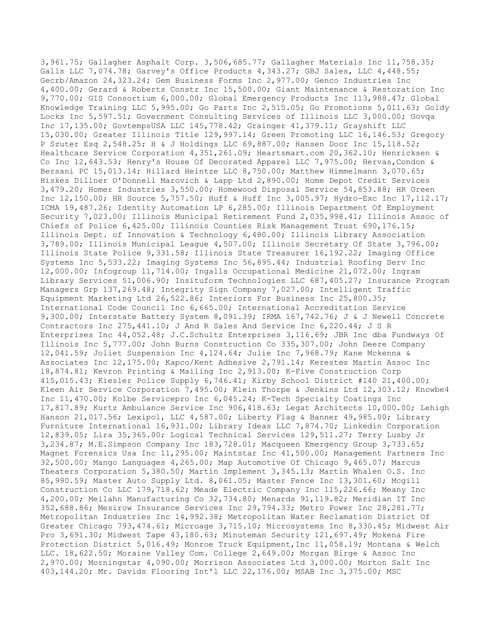3,961.75; Gallagher Asphalt Corp. 3,506,685.77; Gallagher Materials Inc 11,758.35; Galls LLC 7,074.78; Garvey's Office Products 4,343.27; GBJ Sales, LLC 4,448.55; Gecrb/Amazon 24,323.24; Gem Business Forms Inc 2,977.00; Genco Industries Inc 4,400.00; Gerard & Roberts Constr Inc 15,500.00; Giant Maintenance & Restoration Inc 9,770.00; GIS Consortium 6,000.00; Global Emergency Products Inc 113,988.47; Global Knowledge Training LLC 5,995.00; Go Parts Inc 2,515.05; Go Promotions 5,011.63; Goldy Locks Inc 5,597.51; Government Consulting Services of Illinois LLC 3,000.00; Govqa Inc 17,135.00; GovtempsUSA LLC 145,778.42; Grainger 41,379.11; Grayshift LLC 15,030.00; Greater Illinois Title 129,997.14; Green Promoting LLC 16,146.53; Gregory P Szuter Esq 2,548.25; H & J Holdings LLC 69,887.00; Hansen Door Inc 15,118.52; Healthcare Service Corporation 4,351,261.09; Heartsmart.com 20,362.10; Henricksen & Co Inc 12,643.53; Henry's House Of Decorated Apparel LLC 7,975.00; Hervas,Condon & Bersani PC 15,013.14; Hillard Heintze LLC 8,750.00; Matthew Himmelmann 3,070.65; Hiskes Dillner O'Donnell Marovich & Lapp Ltd 2,890.00; Home Depot Credit Services 3,479.20; Homer Industries 3,550.00; Homewood Disposal Service 54,853.88; HR Green Inc 12,150.00; HR Source 5,757.50; Huff & Huff Inc 3,005.97; Hydro-Exc Inc 17,112.17; ICMA 19,487.26; Identity Automation LP 6,285.00; Illinois Department Of Employment Security 7,023.00; Illinois Municipal Retirement Fund 2,035,998.41; Illinois Assoc of Chiefs of Police 6,425.00; Illinois Counties Risk Management Trust 690,176.15; Illinois Dept. of Innovation & Technology 6,480.00; Illinois Library Association 3,789.00; Illinois Municipal League 4,507.00; Illinois Secretary Of State 3,796.00; Illinois State Police 9,331.58; Illinois State Treasurer 16,192.22; Imaging Office Systems Inc 5,533.22; Imaging Systems Inc 56,895.44; Industrial Roofing Serv Inc 12,000.00; Infogroup 11,714.00; Ingalls Occupational Medicine 21,072.00; Ingram Library Services 51,006.90; Insituform Technologies LLC 687,405.27; Insurance Program Managers Grp 137,269.48; Integrity Sign Company 7,027.00; Intelligent Traffic Equipment Marketing Ltd 26,522.86; Interiors For Business Inc 25,800.35; International Code Council Inc 6,665.00; International Accreditation Service 9,300.00; Interstate Battery System 8,091.39; IRMA 167,742.76; J & J Newell Concrete Contractors Inc 275,441.10; J And R Sales And Service Inc 6,220.44; J S R Enterprises Inc 44,052.48; J.C.Schultz Enterprises 3,116.69; JBR Inc dba Fundways Of Illinois Inc 5,777.00; John Burns Construction Co 335,307.00; John Deere Company 12,041.59; Joliet Suspension Inc 4,124.64; Julie Inc 7,968.79; Kane Mckenna & Associates Inc 12,175.00; Kapco/Kent Adhesive 2,791.14; Kerestes Martin Assoc Inc 18,874.81; Kevron Printing & Mailing Inc 2,913.00; K-Five Construction Corp 415,015.43; Kiesler Police Supply 6,746.41; Kirby School District #140 21,400.00; Kleen Air Service Corporation 7,495.00; Klein Thorpe & Jenkins Ltd 12,303.12; Knowbe4 Inc 11,470.00; Kolbe Servicepro Inc 6,045.24; K-Tech Specialty Coatings Inc 17,817.89; Kurtz Ambulance Service Inc 906,418.63; Legat Architects 10,000.00; Lehigh Hanson 21,017.56; Lexipol, LLC 4,587.00; Liberty Flag & Banner 49,985.00; Library Furniture International 16,931.00; Library Ideas LLC 7,874.70; Linkedin Corporation 12,839.05; Lira 35,365.00; Logical Technical Services 129,511.27; Terry Lusby Jr 3,234.87; M.E.Simpson Company Inc 183,728.01; Macqueen Emergency Group 3,733.65; Magnet Forensics Usa Inc 11,295.00; Maintstar Inc 41,500.00; Management Partners Inc 32,500.00; Mango Languages 4,265.00; Map Automotive Of Chicago 9,465.07; Marcus Theaters Corporation 5,380.50; Martin Implement 3,345.13; Martin Whalen O.S. Inc 85,990.59; Master Auto Supply Ltd. 8,061.05; Master Fence Inc 13,301.60; Mcgill Construction Co LLC 179,718.62; Meade Electric Company Inc 115,226.66; Meany Inc 4,200.00; Meilahn Manufacturing Co 32,734.80; Menards 91,119.82; Meridian IT Inc 352,688.86; Mesirow Insurance Services Inc 29,794.33; Metro Power Inc 28,281.77; Metropolitan Industries Inc 14,992.38; Metropolitan Water Reclamation District Of Greater Chicago 793,474.61; Microage 3,715.10; Microsystems Inc 8,330.45; Midwest Air Pro 3,691.30; Midwest Tape 43,180.63; Minuteman Security 121,697.49; Mokena Fire Protection District 5,016.49; Monroe Truck Equipment,Inc 11,058.19; Montana & Welch LLC. 18,622.50; Moraine Valley Com. College 2,649.00; Morgan Birge & Assoc Inc 2,970.00; Morningstar 4,090.00; Morrison Associates Ltd 3,000.00; Morton Salt Inc 403,144.20; Mr. Davids Flooring Int'l LLC 22,176.00; MSAB Inc 3,375.00; MSC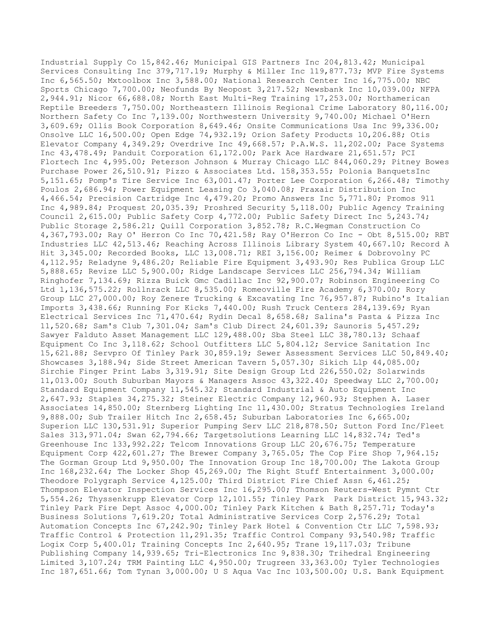Industrial Supply Co 15,842.46; Municipal GIS Partners Inc 204,813.42; Municipal Services Consulting Inc 379,717.19; Murphy & Miller Inc 119,877.73; MVP Fire Systems Inc 6,565.50; Mxtoolbox Inc 3,588.00; National Research Center Inc 16,775.00; NBC Sports Chicago 7,700.00; Neofunds By Neopost 3,217.52; Newsbank Inc 10,039.00; NFPA 2,944.91; Nicor 66,688.08; North East Multi-Reg Training 17,253.00; Northamerican Reptile Breeders 7,750.00; Northeastern Illinois Regional Crime Laboratory 80,116.00; Northern Safety Co Inc 7,139.00; Northwestern University 9,740.00; Michael O'Hern 3,609.69; Ollis Book Corporation 8,649.46; Onsite Communications Usa Inc 99,336.00; Onsolve LLC 16,500.00; Open Edge 74,932.19; Orion Safety Products 10,206.88; Otis Elevator Company 4,349.29; Overdrive Inc 49,668.57; P.A.W.S. 11,202.00; Pace Systems Inc 43,478.49; Panduit Corporation 61,172.00; Park Ace Hardware 21,651.57; PCI Flortech Inc 4,995.00; Peterson Johnson & Murray Chicago LLC 844,060.29; Pitney Bowes Purchase Power 26,510.91; Pizzo & Associates Ltd. 158,353.55; Polonia BanquetsInc 5,151.65; Pomp's Tire Service Inc 63,001.47; Porter Lee Corporation 6,266.48; Timothy Poulos 2,686.94; Power Equipment Leasing Co 3,040.08; Praxair Distribution Inc 4,466.54; Precision Cartridge Inc 4,479.20; Promo Answers Inc 5,771.80; Promos 911 Inc 4,989.84; Proquest 20,035.39; Proshred Security 5,118.00; Public Agency Training Council 2,615.00; Public Safety Corp 4,772.00; Public Safety Direct Inc 5,243.74; Public Storage 2,586.21; Quill Corporation 3,852.78; R.C.Wegman Construction Co 4,367,793.00; Ray O' Herron Co Inc 70,421.58; Ray O'Herron Co Inc - Obt 8,515.00; RBT Industries LLC 42,513.46; Reaching Across Illinois Library System 40,667.10; Record A Hit 3,345.00; Recorded Books, LLC 13,008.71; REI 3,156.00; Reimer & Dobrovolny PC 4,112.95; Reladyne 9,486.20; Reliable Fire Equipment 3,493.90; Res Publica Group LLC 5,888.65; Revize LLC 5,900.00; Ridge Landscape Services LLC 256,794.34; William Ringhofer 7,134.69; Rizza Buick Gmc Cadillac Inc 92,900.07; Robinson Engineering Co Ltd 1,136,575.22; Rollnrack LLC 8,535.00; Romeoville Fire Academy 6,370.00; Rory Group LLC 27,000.00; Roy Zenere Trucking & Excavating Inc 76,957.87; Rubino's Italian Imports 3,438.66; Running For Kicks 7,440.00; Rush Truck Centers 284,139.69; Ryan Electrical Services Inc 71,470.64; Rydin Decal 8,658.68; Salina's Pasta & Pizza Inc 11,520.68; Sam's Club 7,301.04; Sam's Club Direct 24,601.39; Saunoris 5,457.29; Sawyer Falduto Asset Management LLC 129,488.00; Sba Steel LLC 38,780.13; Schaaf Equipment Co Inc 3,118.62; School Outfitters LLC 5,804.12; Service Sanitation Inc 15,621.88; Servpro Of Tinley Park 30,859.19; Sewer Assessment Services LLC 50,849.40; Showcases 3,188.94; Side Street American Tavern 5,057.30; Sikich Llp 44,085.00; Sirchie Finger Print Labs 3,319.91; Site Design Group Ltd 226,550.02; Solarwinds 11,013.00; South Suburban Mayors & Managers Assoc 43,322.40; Speedway LLC 2,700.00; Standard Equipment Company 11,545.32; Standard Industrial & Auto Equipment Inc 2,647.93; Staples 34,275.32; Steiner Electric Company 12,960.93; Stephen A. Laser Associates 14,850.00; Sternberg Lighting Inc 11,430.00; Stratus Technologies Ireland 9,888.00; Sub Trailer Hitch Inc 2,658.45; Suburban Laboratories Inc 6,665.00; Superion LLC 130,531.91; Superior Pumping Serv LLC 218,878.50; Sutton Ford Inc/Fleet Sales 313,971.04; Swan 62,794.66; Targetsolutions Learning LLC 14,832.74; Ted's Greenhouse Inc 133,992.22; Telcom Innovations Group LLC 20,676.75; Temperature Equipment Corp 422,601.27; The Brewer Company 3,765.05; The Cop Fire Shop 7,964.15; The Gorman Group Ltd 9,950.00; The Innovation Group Inc 18,700.00; The Lakota Group Inc 168,232.64; The Locker Shop 45,269.00; The Right Stuff Entertainment 3,000.00; Theodore Polygraph Service 4,125.00; Third District Fire Chief Assn 6,461.25; Thompson Elevator Inspection Services Inc 16,295.00; Thomson Reuters-West Pymnt Ctr 5,554.26; Thyssenkrupp Elevator Corp 12,101.55; Tinley Park Park District 15,943.32; Tinley Park Fire Dept Assoc 4,000.00; Tinley Park Kitchen & Bath 8,257.71; Today's Business Solutions 7,619.20; Total Administrative Services Corp 2,576.29; Total Automation Concepts Inc 67,242.90; Tinley Park Hotel & Convention Ctr LLC 7,598.93; Traffic Control & Protection 11,291.35; Traffic Control Company 93,540.98; Traffic Logix Corp 5,400.01; Training Concepts Inc 2,640.95; Trane 19,117.03; Tribune Publishing Company 14,939.65; Tri-Electronics Inc 9,838.30; Trihedral Engineering Limited 3,107.24; TRM Painting LLC 4,950.00; Trugreen 33,363.00; Tyler Technologies Inc 187,651.66; Tom Tynan 3,000.00; U S Aqua Vac Inc 103,500.00; U.S. Bank Equipment